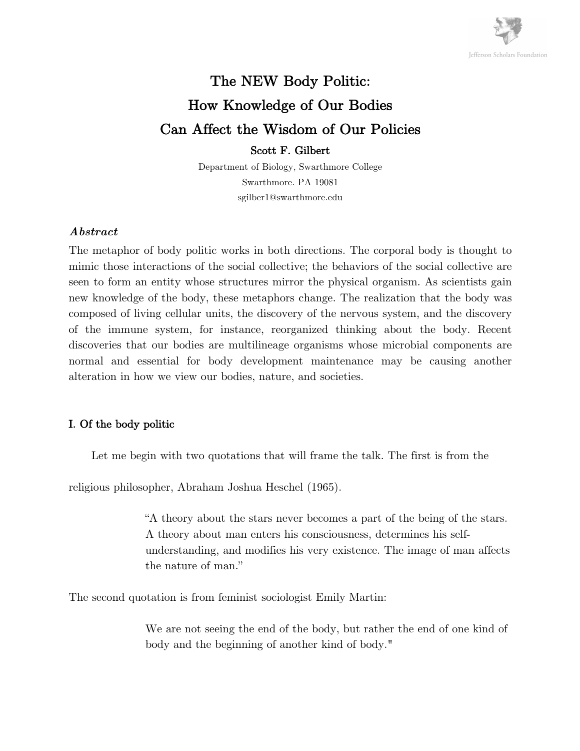

# The NEW Body Politic: How Knowledge of Our Bodies Can Affect the Wisdom of Our Policies

Scott F. Gilbert

Department of Biology, Swarthmore College Swarthmore. PA 19081 sgilber1@swarthmore.edu

## *Abstract*

The metaphor of body politic works in both directions. The corporal body is thought to mimic those interactions of the social collective; the behaviors of the social collective are seen to form an entity whose structures mirror the physical organism. As scientists gain new knowledge of the body, these metaphors change. The realization that the body was composed of living cellular units, the discovery of the nervous system, and the discovery of the immune system, for instance, reorganized thinking about the body. Recent discoveries that our bodies are multilineage organisms whose microbial components are normal and essential for body development maintenance may be causing another alteration in how we view our bodies, nature, and societies.

# I. Of the body politic

Let me begin with two quotations that will frame the talk. The first is from the

religious philosopher, Abraham Joshua Heschel (1965).

"A theory about the stars never becomes a part of the being of the stars. A theory about man enters his consciousness, determines his selfunderstanding, and modifies his very existence. The image of man affects the nature of man."

The second quotation is from feminist sociologist Emily Martin:

We are not seeing the end of the body, but rather the end of one kind of body and the beginning of another kind of body."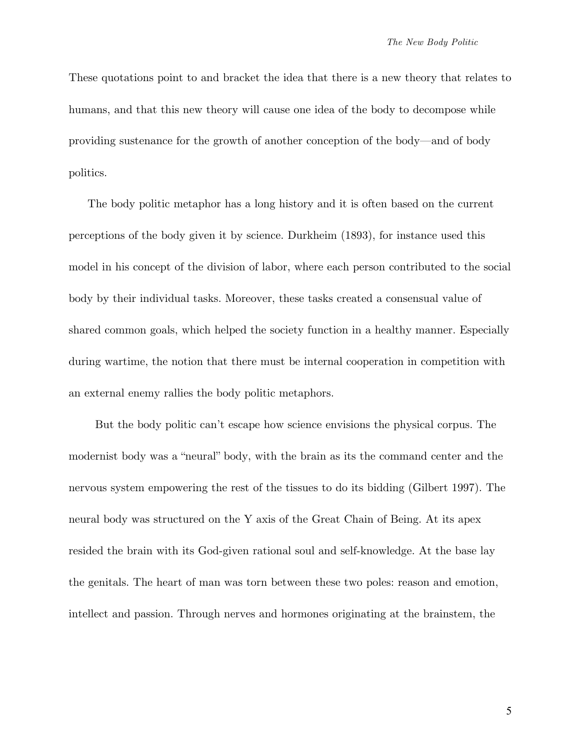These quotations point to and bracket the idea that there is a new theory that relates to humans, and that this new theory will cause one idea of the body to decompose while providing sustenance for the growth of another conception of the body—and of body politics.

 The body politic metaphor has a long history and it is often based on the current perceptions of the body given it by science. Durkheim (1893), for instance used this model in his concept of the division of labor, where each person contributed to the social body by their individual tasks. Moreover, these tasks created a consensual value of shared common goals, which helped the society function in a healthy manner. Especially during wartime, the notion that there must be internal cooperation in competition with an external enemy rallies the body politic metaphors.

 But the body politic can't escape how science envisions the physical corpus. The modernist body was a "neural" body, with the brain as its the command center and the nervous system empowering the rest of the tissues to do its bidding (Gilbert 1997). The neural body was structured on the Y axis of the Great Chain of Being. At its apex resided the brain with its God-given rational soul and self-knowledge. At the base lay the genitals. The heart of man was torn between these two poles: reason and emotion, intellect and passion. Through nerves and hormones originating at the brainstem, the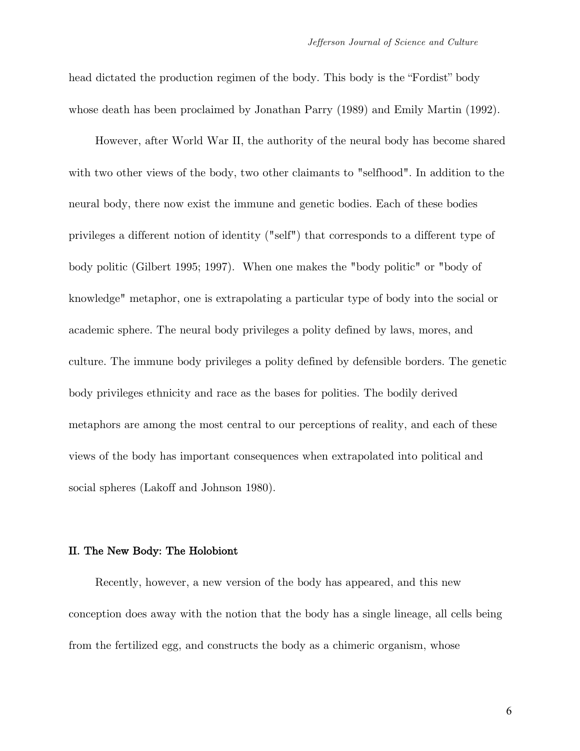head dictated the production regimen of the body. This body is the "Fordist" body whose death has been proclaimed by Jonathan Parry (1989) and Emily Martin (1992).

 However, after World War II, the authority of the neural body has become shared with two other views of the body, two other claimants to "selfhood". In addition to the neural body, there now exist the immune and genetic bodies. Each of these bodies privileges a different notion of identity ("self") that corresponds to a different type of body politic (Gilbert 1995; 1997). When one makes the "body politic" or "body of knowledge" metaphor, one is extrapolating a particular type of body into the social or academic sphere. The neural body privileges a polity defined by laws, mores, and culture. The immune body privileges a polity defined by defensible borders. The genetic body privileges ethnicity and race as the bases for polities. The bodily derived metaphors are among the most central to our perceptions of reality, and each of these views of the body has important consequences when extrapolated into political and social spheres (Lakoff and Johnson 1980).

#### II. The New Body: The Holobiont

 Recently, however, a new version of the body has appeared, and this new conception does away with the notion that the body has a single lineage, all cells being from the fertilized egg, and constructs the body as a chimeric organism, whose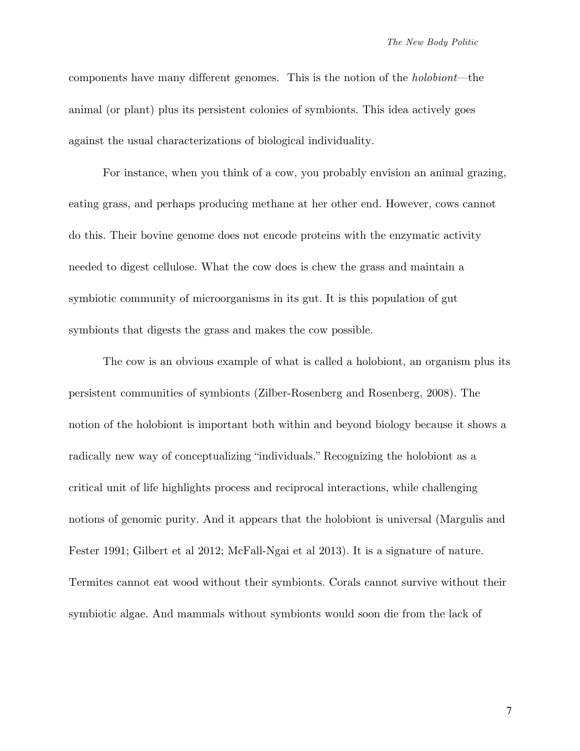components have many different genomes. This is the notion of the *holobiont*—the animal (or plant) plus its persistent colonies of symbionts. This idea actively goes against the usual characterizations of biological individuality.

For instance, when you think of a cow, you probably envision an animal grazing, eating grass, and perhaps producing methane at her other end. However, cows cannot do this. Their bovine genome does not encode proteins with the enzymatic activity needed to digest cellulose. What the cow does is chew the grass and maintain a symbiotic community of microorganisms in its gut. It is this population of gut symbionts that digests the grass and makes the cow possible.

The cow is an obvious example of what is called a holobiont, an organism plus its persistent communities of symbionts (Zilber-Rosenberg and Rosenberg, 2008). The notion of the holobiont is important both within and beyond biology because it shows a radically new way of conceptualizing "individuals." Recognizing the holobiont as a critical unit of life highlights process and reciprocal interactions, while challenging notions of genomic purity. And it appears that the holobiont is universal (Margulis and Fester 1991; Gilbert et al 2012; McFall-Ngai et al 2013). It is a signature of nature. Termites cannot eat wood without their symbionts. Corals cannot survive without their symbiotic algae. And mammals without symbionts would soon die from the lack of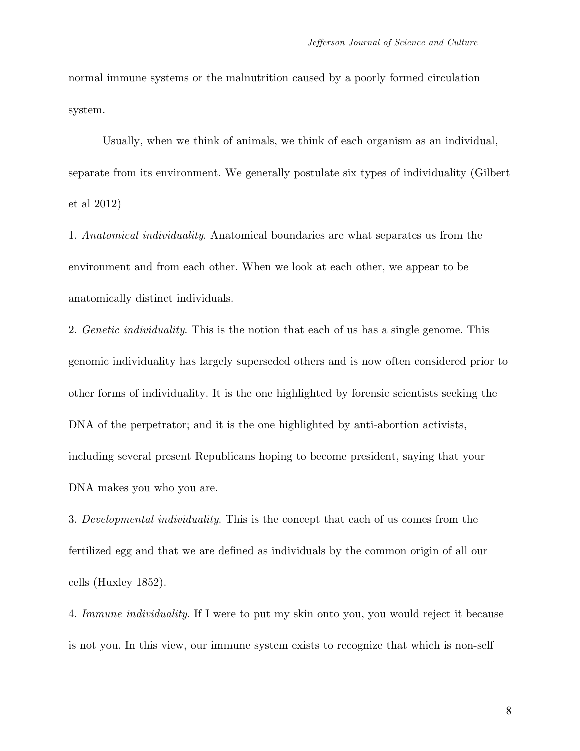normal immune systems or the malnutrition caused by a poorly formed circulation system.

Usually, when we think of animals, we think of each organism as an individual, separate from its environment. We generally postulate six types of individuality (Gilbert et al 2012)

1. *Anatomical individuality*. Anatomical boundaries are what separates us from the environment and from each other. When we look at each other, we appear to be anatomically distinct individuals.

2. *Genetic individuality*. This is the notion that each of us has a single genome. This genomic individuality has largely superseded others and is now often considered prior to other forms of individuality. It is the one highlighted by forensic scientists seeking the DNA of the perpetrator; and it is the one highlighted by anti-abortion activists, including several present Republicans hoping to become president, saying that your DNA makes you who you are.

3. *Developmental individuality*. This is the concept that each of us comes from the fertilized egg and that we are defined as individuals by the common origin of all our cells (Huxley 1852).

4. *Immune individuality*. If I were to put my skin onto you, you would reject it because is not you. In this view, our immune system exists to recognize that which is non-self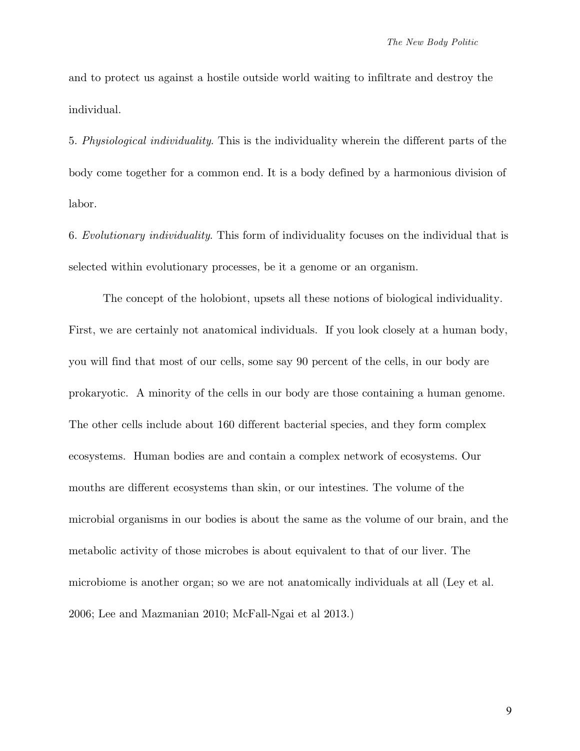and to protect us against a hostile outside world waiting to infiltrate and destroy the individual.

5. *Physiological individuality*. This is the individuality wherein the different parts of the body come together for a common end. It is a body defined by a harmonious division of labor.

6. *Evolutionary individuality*. This form of individuality focuses on the individual that is selected within evolutionary processes, be it a genome or an organism.

The concept of the holobiont, upsets all these notions of biological individuality. First, we are certainly not anatomical individuals. If you look closely at a human body, you will find that most of our cells, some say 90 percent of the cells, in our body are prokaryotic. A minority of the cells in our body are those containing a human genome. The other cells include about 160 different bacterial species, and they form complex ecosystems. Human bodies are and contain a complex network of ecosystems. Our mouths are different ecosystems than skin, or our intestines. The volume of the microbial organisms in our bodies is about the same as the volume of our brain, and the metabolic activity of those microbes is about equivalent to that of our liver. The microbiome is another organ; so we are not anatomically individuals at all (Ley et al. 2006; Lee and Mazmanian 2010; McFall-Ngai et al 2013.)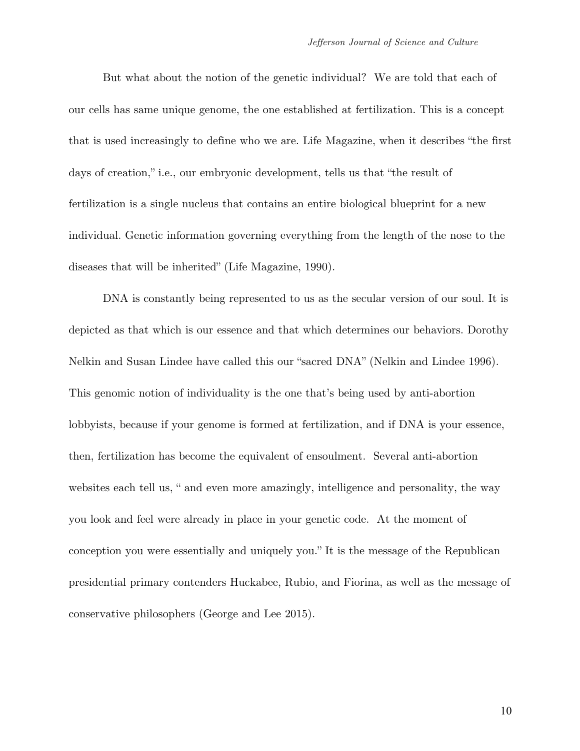But what about the notion of the genetic individual? We are told that each of our cells has same unique genome, the one established at fertilization. This is a concept that is used increasingly to define who we are. Life Magazine, when it describes "the first days of creation," i.e., our embryonic development, tells us that "the result of fertilization is a single nucleus that contains an entire biological blueprint for a new individual. Genetic information governing everything from the length of the nose to the diseases that will be inherited" (Life Magazine, 1990).

DNA is constantly being represented to us as the secular version of our soul. It is depicted as that which is our essence and that which determines our behaviors. Dorothy Nelkin and Susan Lindee have called this our "sacred DNA" (Nelkin and Lindee 1996). This genomic notion of individuality is the one that's being used by anti-abortion lobbyists, because if your genome is formed at fertilization, and if DNA is your essence, then, fertilization has become the equivalent of ensoulment. Several anti-abortion websites each tell us, " and even more amazingly, intelligence and personality, the way you look and feel were already in place in your genetic code. At the moment of conception you were essentially and uniquely you." It is the message of the Republican presidential primary contenders Huckabee, Rubio, and Fiorina, as well as the message of conservative philosophers (George and Lee 2015).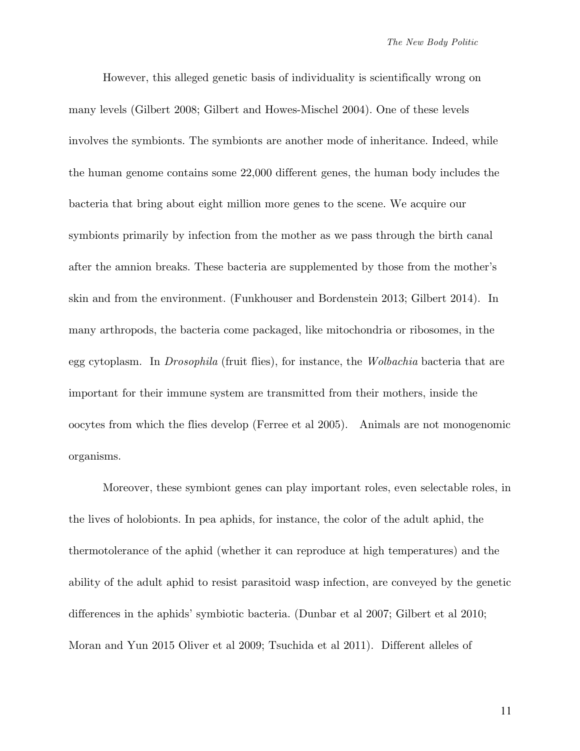However, this alleged genetic basis of individuality is scientifically wrong on many levels (Gilbert 2008; Gilbert and Howes-Mischel 2004). One of these levels involves the symbionts. The symbionts are another mode of inheritance. Indeed, while the human genome contains some 22,000 different genes, the human body includes the bacteria that bring about eight million more genes to the scene. We acquire our symbionts primarily by infection from the mother as we pass through the birth canal after the amnion breaks. These bacteria are supplemented by those from the mother's skin and from the environment. (Funkhouser and Bordenstein 2013; Gilbert 2014). In many arthropods, the bacteria come packaged, like mitochondria or ribosomes, in the egg cytoplasm. In *Drosophila* (fruit flies), for instance, the *Wolbachia* bacteria that are important for their immune system are transmitted from their mothers, inside the oocytes from which the flies develop (Ferree et al 2005). Animals are not monogenomic organisms.

Moreover, these symbiont genes can play important roles, even selectable roles, in the lives of holobionts. In pea aphids, for instance, the color of the adult aphid, the thermotolerance of the aphid (whether it can reproduce at high temperatures) and the ability of the adult aphid to resist parasitoid wasp infection, are conveyed by the genetic differences in the aphids' symbiotic bacteria. (Dunbar et al 2007; Gilbert et al 2010; Moran and Yun 2015 Oliver et al 2009; Tsuchida et al 2011). Different alleles of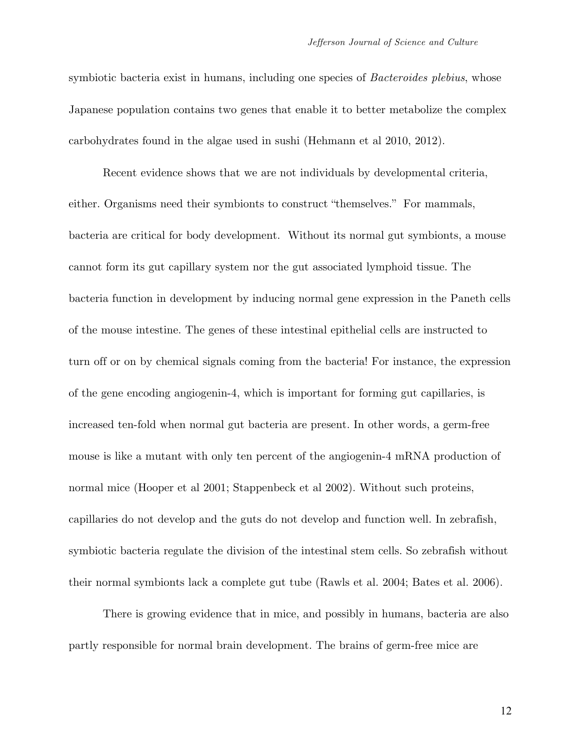symbiotic bacteria exist in humans, including one species of *Bacteroides plebius*, whose Japanese population contains two genes that enable it to better metabolize the complex carbohydrates found in the algae used in sushi (Hehmann et al 2010, 2012).

Recent evidence shows that we are not individuals by developmental criteria, either. Organisms need their symbionts to construct "themselves." For mammals, bacteria are critical for body development. Without its normal gut symbionts, a mouse cannot form its gut capillary system nor the gut associated lymphoid tissue. The bacteria function in development by inducing normal gene expression in the Paneth cells of the mouse intestine. The genes of these intestinal epithelial cells are instructed to turn off or on by chemical signals coming from the bacteria! For instance, the expression of the gene encoding angiogenin-4, which is important for forming gut capillaries, is increased ten-fold when normal gut bacteria are present. In other words, a germ-free mouse is like a mutant with only ten percent of the angiogenin-4 mRNA production of normal mice (Hooper et al 2001; Stappenbeck et al 2002). Without such proteins, capillaries do not develop and the guts do not develop and function well. In zebrafish, symbiotic bacteria regulate the division of the intestinal stem cells. So zebrafish without their normal symbionts lack a complete gut tube (Rawls et al. 2004; Bates et al. 2006).

There is growing evidence that in mice, and possibly in humans, bacteria are also partly responsible for normal brain development. The brains of germ-free mice are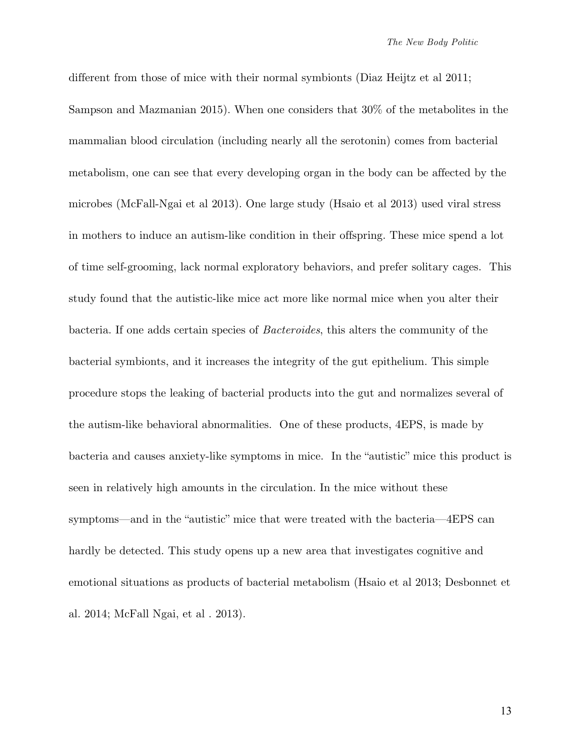different from those of mice with their normal symbionts (Diaz Heijtz et al 2011; Sampson and Mazmanian 2015). When one considers that 30% of the metabolites in the mammalian blood circulation (including nearly all the serotonin) comes from bacterial metabolism, one can see that every developing organ in the body can be affected by the microbes (McFall-Ngai et al 2013). One large study (Hsaio et al 2013) used viral stress in mothers to induce an autism-like condition in their offspring. These mice spend a lot of time self-grooming, lack normal exploratory behaviors, and prefer solitary cages. This study found that the autistic-like mice act more like normal mice when you alter their bacteria. If one adds certain species of *Bacteroides*, this alters the community of the bacterial symbionts, and it increases the integrity of the gut epithelium. This simple procedure stops the leaking of bacterial products into the gut and normalizes several of the autism-like behavioral abnormalities. One of these products, 4EPS, is made by bacteria and causes anxiety-like symptoms in mice. In the "autistic" mice this product is seen in relatively high amounts in the circulation. In the mice without these symptoms—and in the "autistic" mice that were treated with the bacteria—4EPS can hardly be detected. This study opens up a new area that investigates cognitive and emotional situations as products of bacterial metabolism (Hsaio et al 2013; Desbonnet et al. 2014; McFall Ngai, et al . 2013).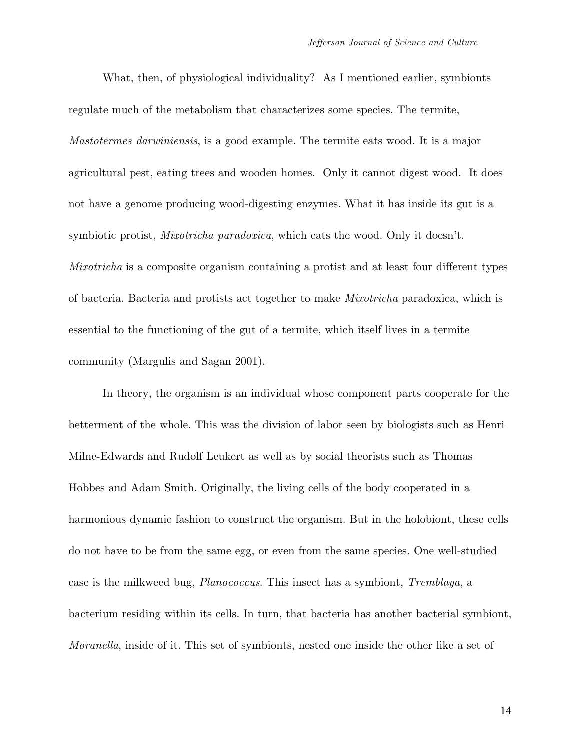What, then, of physiological individuality? As I mentioned earlier, symbionts regulate much of the metabolism that characterizes some species. The termite, *Mastotermes darwiniensis*, is a good example. The termite eats wood. It is a major agricultural pest, eating trees and wooden homes. Only it cannot digest wood. It does not have a genome producing wood-digesting enzymes. What it has inside its gut is a symbiotic protist, *Mixotricha paradoxica*, which eats the wood. Only it doesn't. *Mixotricha* is a composite organism containing a protist and at least four different types of bacteria. Bacteria and protists act together to make *Mixotricha* paradoxica, which is essential to the functioning of the gut of a termite, which itself lives in a termite community (Margulis and Sagan 2001).

In theory, the organism is an individual whose component parts cooperate for the betterment of the whole. This was the division of labor seen by biologists such as Henri Milne-Edwards and Rudolf Leukert as well as by social theorists such as Thomas Hobbes and Adam Smith. Originally, the living cells of the body cooperated in a harmonious dynamic fashion to construct the organism. But in the holobiont, these cells do not have to be from the same egg, or even from the same species. One well-studied case is the milkweed bug, *Planococcus*. This insect has a symbiont, *Tremblaya*, a bacterium residing within its cells. In turn, that bacteria has another bacterial symbiont, *Moranella*, inside of it. This set of symbionts, nested one inside the other like a set of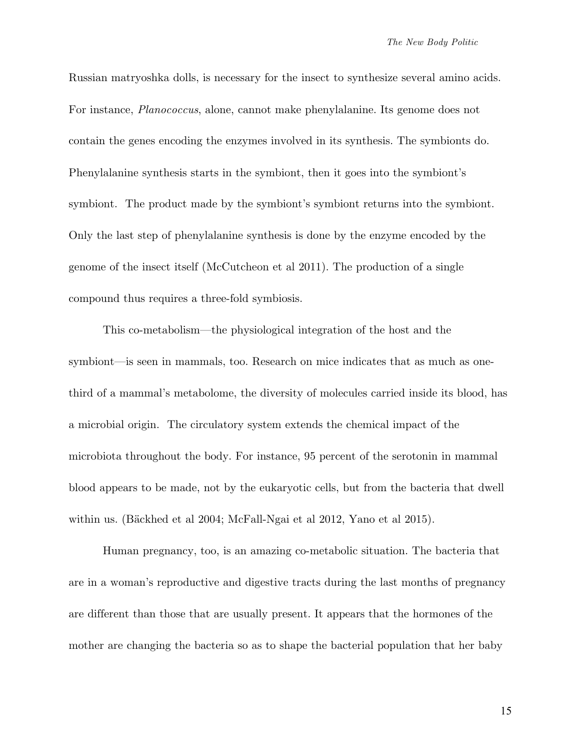Russian matryoshka dolls, is necessary for the insect to synthesize several amino acids. For instance, *Planococcus*, alone, cannot make phenylalanine. Its genome does not contain the genes encoding the enzymes involved in its synthesis. The symbionts do. Phenylalanine synthesis starts in the symbiont, then it goes into the symbiont's symbiont. The product made by the symbiont's symbiont returns into the symbiont. Only the last step of phenylalanine synthesis is done by the enzyme encoded by the genome of the insect itself (McCutcheon et al 2011). The production of a single compound thus requires a three-fold symbiosis.

This co-metabolism—the physiological integration of the host and the symbiont—is seen in mammals, too. Research on mice indicates that as much as onethird of a mammal's metabolome, the diversity of molecules carried inside its blood, has a microbial origin. The circulatory system extends the chemical impact of the microbiota throughout the body. For instance, 95 percent of the serotonin in mammal blood appears to be made, not by the eukaryotic cells, but from the bacteria that dwell within us. (Bäckhed et al 2004; McFall-Ngai et al 2012, Yano et al 2015).

Human pregnancy, too, is an amazing co-metabolic situation. The bacteria that are in a woman's reproductive and digestive tracts during the last months of pregnancy are different than those that are usually present. It appears that the hormones of the mother are changing the bacteria so as to shape the bacterial population that her baby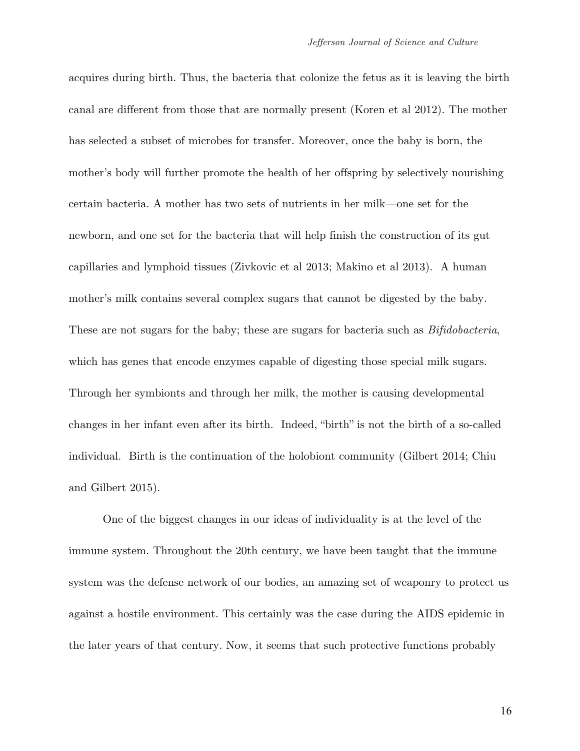acquires during birth. Thus, the bacteria that colonize the fetus as it is leaving the birth canal are different from those that are normally present (Koren et al 2012). The mother has selected a subset of microbes for transfer. Moreover, once the baby is born, the mother's body will further promote the health of her offspring by selectively nourishing certain bacteria. A mother has two sets of nutrients in her milk—one set for the newborn, and one set for the bacteria that will help finish the construction of its gut capillaries and lymphoid tissues (Zivkovic et al 2013; Makino et al 2013). A human mother's milk contains several complex sugars that cannot be digested by the baby. These are not sugars for the baby; these are sugars for bacteria such as *Bifidobacteria*, which has genes that encode enzymes capable of digesting those special milk sugars. Through her symbionts and through her milk, the mother is causing developmental changes in her infant even after its birth. Indeed, "birth" is not the birth of a so-called individual. Birth is the continuation of the holobiont community (Gilbert 2014; Chiu and Gilbert 2015).

One of the biggest changes in our ideas of individuality is at the level of the immune system. Throughout the 20th century, we have been taught that the immune system was the defense network of our bodies, an amazing set of weaponry to protect us against a hostile environment. This certainly was the case during the AIDS epidemic in the later years of that century. Now, it seems that such protective functions probably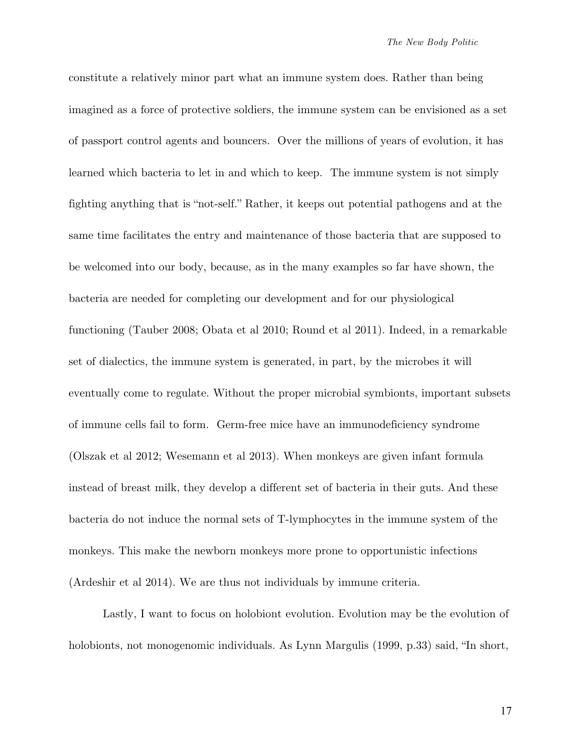constitute a relatively minor part what an immune system does. Rather than being imagined as a force of protective soldiers, the immune system can be envisioned as a set of passport control agents and bouncers. Over the millions of years of evolution, it has learned which bacteria to let in and which to keep. The immune system is not simply fighting anything that is "not-self." Rather, it keeps out potential pathogens and at the same time facilitates the entry and maintenance of those bacteria that are supposed to be welcomed into our body, because, as in the many examples so far have shown, the bacteria are needed for completing our development and for our physiological functioning (Tauber 2008; Obata et al 2010; Round et al 2011). Indeed, in a remarkable set of dialectics, the immune system is generated, in part, by the microbes it will eventually come to regulate. Without the proper microbial symbionts, important subsets of immune cells fail to form. Germ-free mice have an immunodeficiency syndrome (Olszak et al 2012; Wesemann et al 2013). When monkeys are given infant formula instead of breast milk, they develop a different set of bacteria in their guts. And these bacteria do not induce the normal sets of T-lymphocytes in the immune system of the monkeys. This make the newborn monkeys more prone to opportunistic infections (Ardeshir et al 2014). We are thus not individuals by immune criteria.

Lastly, I want to focus on holobiont evolution. Evolution may be the evolution of holobionts, not monogenomic individuals. As Lynn Margulis (1999, p.33) said, "In short,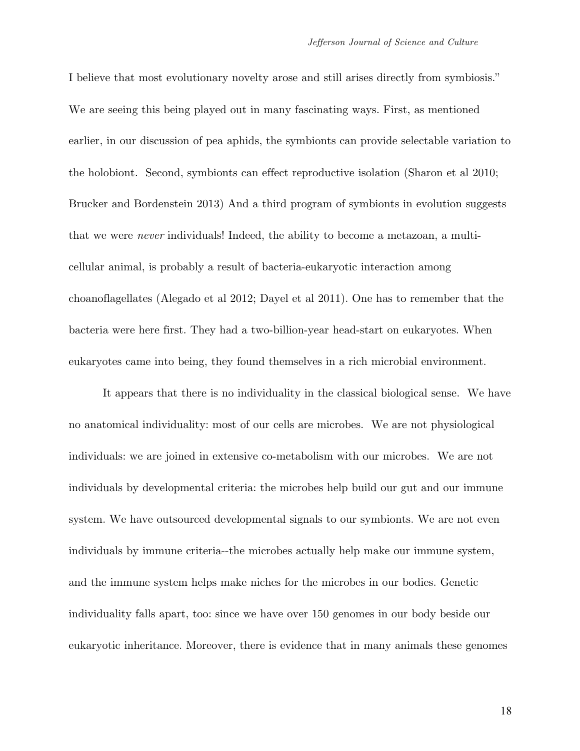I believe that most evolutionary novelty arose and still arises directly from symbiosis." We are seeing this being played out in many fascinating ways. First, as mentioned earlier, in our discussion of pea aphids, the symbionts can provide selectable variation to the holobiont. Second, symbionts can effect reproductive isolation (Sharon et al 2010; Brucker and Bordenstein 2013) And a third program of symbionts in evolution suggests that we were *never* individuals! Indeed, the ability to become a metazoan, a multicellular animal, is probably a result of bacteria-eukaryotic interaction among choanoflagellates (Alegado et al 2012; Dayel et al 2011). One has to remember that the bacteria were here first. They had a two-billion-year head-start on eukaryotes. When eukaryotes came into being, they found themselves in a rich microbial environment.

It appears that there is no individuality in the classical biological sense. We have no anatomical individuality: most of our cells are microbes. We are not physiological individuals: we are joined in extensive co-metabolism with our microbes. We are not individuals by developmental criteria: the microbes help build our gut and our immune system. We have outsourced developmental signals to our symbionts. We are not even individuals by immune criteria--the microbes actually help make our immune system, and the immune system helps make niches for the microbes in our bodies. Genetic individuality falls apart, too: since we have over 150 genomes in our body beside our eukaryotic inheritance. Moreover, there is evidence that in many animals these genomes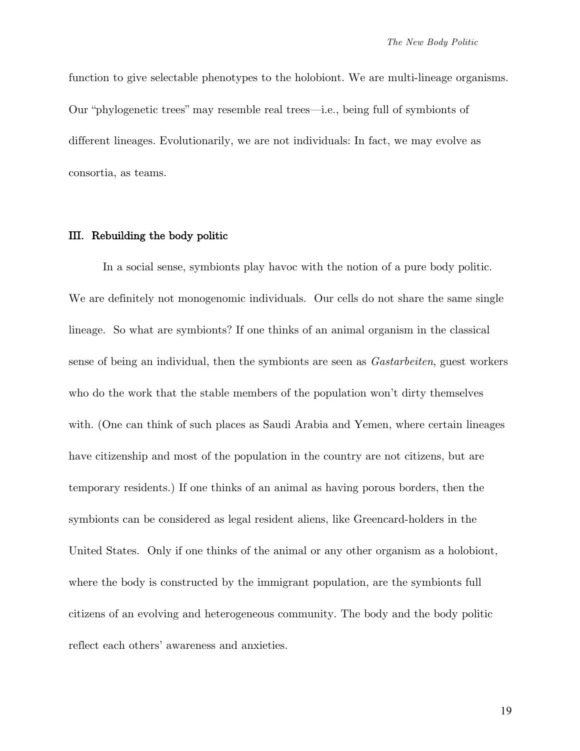function to give selectable phenotypes to the holobiont. We are multi-lineage organisms. Our "phylogenetic trees" may resemble real trees—i.e., being full of symbionts of different lineages. Evolutionarily, we are not individuals: In fact, we may evolve as consortia, as teams.

#### III. Rebuilding the body politic

In a social sense, symbionts play havoc with the notion of a pure body politic. We are definitely not monogenomic individuals. Our cells do not share the same single lineage. So what are symbionts? If one thinks of an animal organism in the classical sense of being an individual, then the symbionts are seen as *Gastarbeiten*, guest workers who do the work that the stable members of the population won't dirty themselves with. (One can think of such places as Saudi Arabia and Yemen, where certain lineages have citizenship and most of the population in the country are not citizens, but are temporary residents.) If one thinks of an animal as having porous borders, then the symbionts can be considered as legal resident aliens, like Greencard-holders in the United States. Only if one thinks of the animal or any other organism as a holobiont, where the body is constructed by the immigrant population, are the symbionts full citizens of an evolving and heterogeneous community. The body and the body politic reflect each others' awareness and anxieties.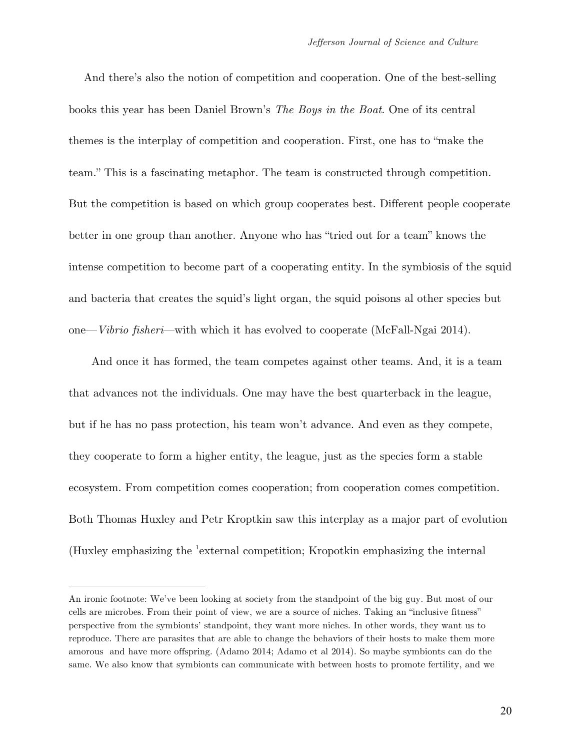And there's also the notion of competition and cooperation. One of the best-selling books this year has been Daniel Brown's *The Boys in the Boat*. One of its central themes is the interplay of competition and cooperation. First, one has to "make the team." This is a fascinating metaphor. The team is constructed through competition. But the competition is based on which group cooperates best. Different people cooperate better in one group than another. Anyone who has "tried out for a team" knows the intense competition to become part of a cooperating entity. In the symbiosis of the squid and bacteria that creates the squid's light organ, the squid poisons al other species but one—*Vibrio fisheri*—with which it has evolved to cooperate (McFall-Ngai 2014).

 And once it has formed, the team competes against other teams. And, it is a team that advances not the individuals. One may have the best quarterback in the league, but if he has no pass protection, his team won't advance. And even as they compete, they cooperate to form a higher entity, the league, just as the species form a stable ecosystem. From competition comes cooperation; from cooperation comes competition. Both Thomas Huxley and Petr Kroptkin saw this interplay as a major part of evolution (Huxley emphasizing the <sup>1</sup>external competition; Kropotkin emphasizing the internal

 $\overline{a}$ 

An ironic footnote: We've been looking at society from the standpoint of the big guy. But most of our cells are microbes. From their point of view, we are a source of niches. Taking an "inclusive fitness" perspective from the symbionts' standpoint, they want more niches. In other words, they want us to reproduce. There are parasites that are able to change the behaviors of their hosts to make them more amorous and have more offspring. (Adamo 2014; Adamo et al 2014). So maybe symbionts can do the same. We also know that symbionts can communicate with between hosts to promote fertility, and we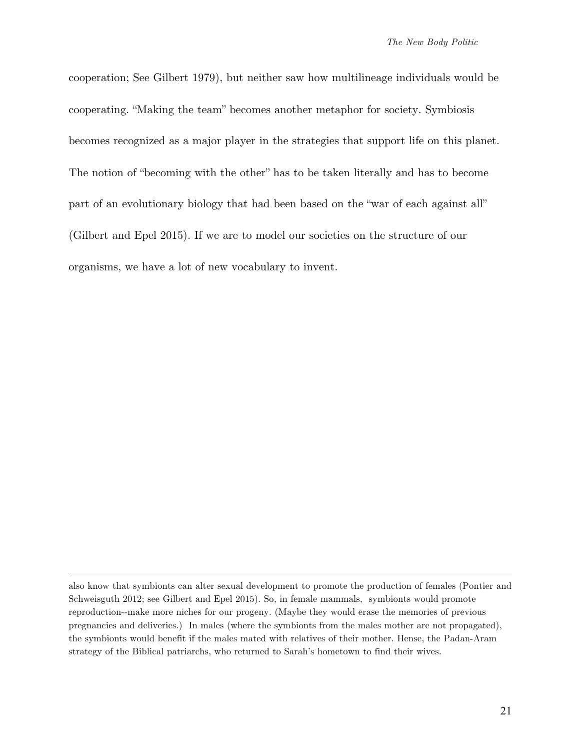cooperation; See Gilbert 1979), but neither saw how multilineage individuals would be cooperating. "Making the team" becomes another metaphor for society. Symbiosis becomes recognized as a major player in the strategies that support life on this planet. The notion of "becoming with the other" has to be taken literally and has to become part of an evolutionary biology that had been based on the "war of each against all" (Gilbert and Epel 2015). If we are to model our societies on the structure of our organisms, we have a lot of new vocabulary to invent.

 $\overline{a}$ 

also know that symbionts can alter sexual development to promote the production of females (Pontier and Schweisguth 2012; see Gilbert and Epel 2015). So, in female mammals, symbionts would promote reproduction--make more niches for our progeny. (Maybe they would erase the memories of previous pregnancies and deliveries.) In males (where the symbionts from the males mother are not propagated), the symbionts would benefit if the males mated with relatives of their mother. Hense, the Padan-Aram strategy of the Biblical patriarchs, who returned to Sarah's hometown to find their wives.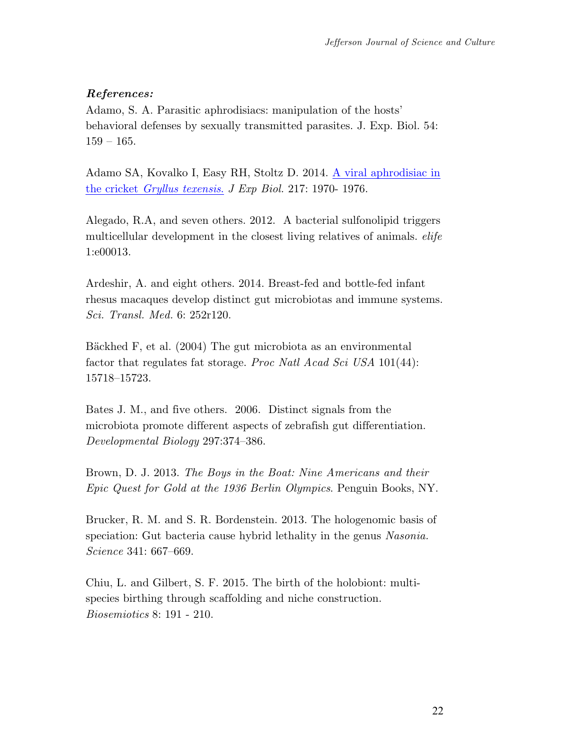### *References:*

Adamo, S. A. Parasitic aphrodisiacs: manipulation of the hosts' behavioral defenses by sexually transmitted parasites. J. Exp. Biol. 54: 159 – 165.

Adamo SA, Kovalko I, Easy RH, Stoltz D. 2014. A viral aphrodisiac in the cricket *Gryllus texensis*. *J Exp Biol.* 217: 1970- 1976.

Alegado, R.A, and seven others. 2012. A bacterial sulfonolipid triggers multicellular development in the closest living relatives of animals. *elife*  1:e00013.

Ardeshir, A. and eight others. 2014. Breast-fed and bottle-fed infant rhesus macaques develop distinct gut microbiotas and immune systems. *Sci. Transl. Med.* 6: 252r120.

Bäckhed F, et al. (2004) The gut microbiota as an environmental factor that regulates fat storage. *Proc Natl Acad Sci USA* 101(44): 15718–15723.

Bates J. M., and five others. 2006. Distinct signals from the microbiota promote different aspects of zebrafish gut differentiation. *Developmental Biology* 297:374–386.

Brown, D. J. 2013. *The Boys in the Boat: Nine Americans and their Epic Quest for Gold at the 1936 Berlin Olympics*. Penguin Books, NY.

Brucker, R. M. and S. R. Bordenstein. 2013. The hologenomic basis of speciation: Gut bacteria cause hybrid lethality in the genus *Nasonia. Science* 341: 667–669.

Chiu, L. and Gilbert, S. F. 2015. The birth of the holobiont: multispecies birthing through scaffolding and niche construction. *Biosemiotics* 8: 191 - 210.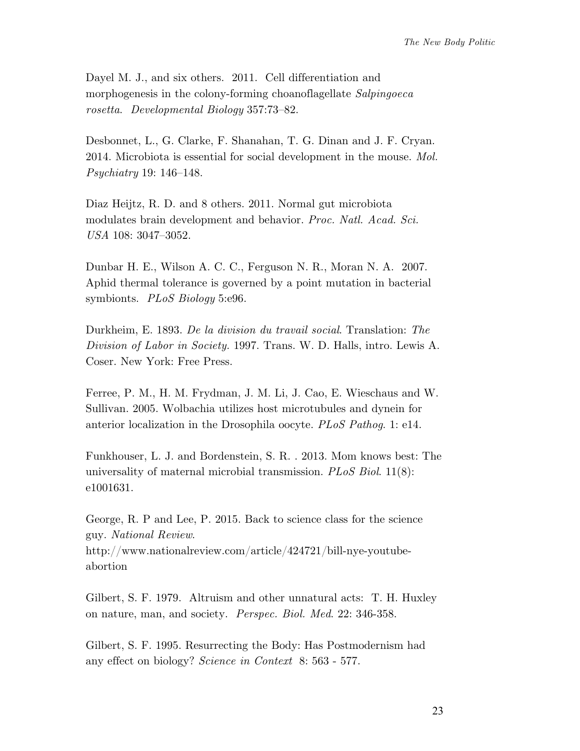Dayel M. J., and six others. 2011. Cell differentiation and morphogenesis in the colony-forming choanoflagellate *Salpingoeca rosetta*. *Developmental Biology* 357:73–82.

Desbonnet, L., G. Clarke, F. Shanahan, T. G. Dinan and J. F. Cryan. 2014. Microbiota is essential for social development in the mouse. *Mol. Psychiatry* 19: 146–148.

Diaz Heijtz, R. D. and 8 others. 2011. Normal gut microbiota modulates brain development and behavior. *Proc. Natl. Acad. Sci. USA* 108: 3047–3052.

Dunbar H. E., Wilson A. C. C., Ferguson N. R., Moran N. A. 2007. Aphid thermal tolerance is governed by a point mutation in bacterial symbionts. *PLoS Biology* 5:e96.

Durkheim, E. 1893. *De la division du travail social*. Translation: *The Division of Labor in Society.* 1997. Trans. W. D. Halls, intro. Lewis A. Coser. New York: Free Press.

Ferree, P. M., H. M. Frydman, J. M. Li, J. Cao, E. Wieschaus and W. Sullivan. 2005. Wolbachia utilizes host microtubules and dynein for anterior localization in the Drosophila oocyte. *PLoS Pathog*. 1: e14.

Funkhouser, L. J. and Bordenstein, S. R. . 2013. Mom knows best: The universality of maternal microbial transmission. *PLoS Biol*. 11(8): e1001631.

George, R. P and Lee, P. 2015. Back to science class for the science guy. *National Review*. http://www.nationalreview.com/article/424721/bill-nye-youtubeabortion

Gilbert, S. F. 1979. Altruism and other unnatural acts: T. H. Huxley on nature, man, and society. *Perspec. Biol. Med*. 22: 346-358.

Gilbert, S. F. 1995. Resurrecting the Body: Has Postmodernism had any effect on biology? *Science in Context* 8: 563 - 577.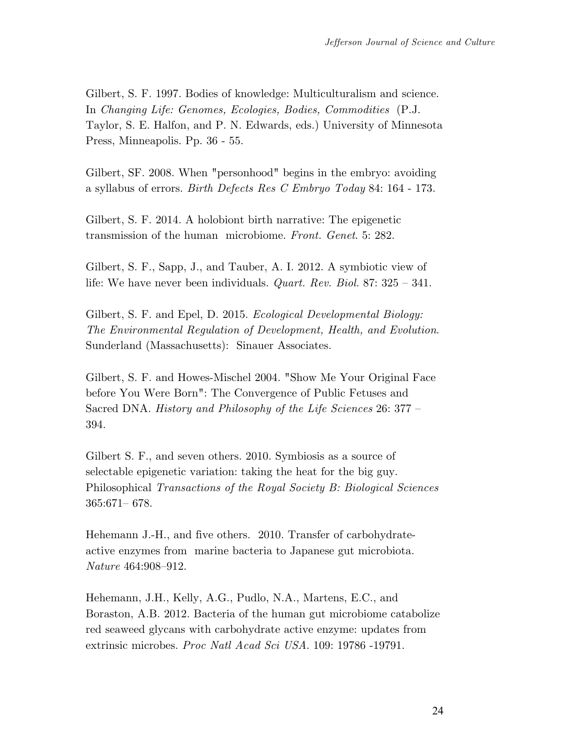Gilbert, S. F. 1997. Bodies of knowledge: Multiculturalism and science. In *Changing Life: Genomes, Ecologies, Bodies, Commodities* (P.J. Taylor, S. E. Halfon, and P. N. Edwards, eds.) University of Minnesota Press, Minneapolis. Pp. 36 - 55.

Gilbert, SF. 2008. When "personhood" begins in the embryo: avoiding a syllabus of errors. *Birth Defects Res C Embryo Today* 84: 164 - 173.

Gilbert, S. F. 2014. A holobiont birth narrative: The epigenetic transmission of the human microbiome. *Front. Genet*. 5: 282.

Gilbert, S. F., Sapp, J., and Tauber, A. I. 2012. A symbiotic view of life: We have never been individuals. *Quart. Rev. Biol.* 87: 325 – 341.

Gilbert, S. F. and Epel, D. 2015. *Ecological Developmental Biology: The Environmental Regulation of Development, Health, and Evolution*. Sunderland (Massachusetts): Sinauer Associates.

Gilbert, S. F. and Howes-Mischel 2004. "Show Me Your Original Face before You Were Born": The Convergence of Public Fetuses and Sacred DNA. *History and Philosophy of the Life Sciences* 26: 377 – 394.

Gilbert S. F., and seven others. 2010. Symbiosis as a source of selectable epigenetic variation: taking the heat for the big guy. Philosophical *Transactions of the Royal Society B: Biological Sciences* 365:671– 678.

Hehemann J.-H., and five others. 2010. Transfer of carbohydrateactive enzymes from marine bacteria to Japanese gut microbiota. *Nature* 464:908–912.

Hehemann, J.H., Kelly, A.G., Pudlo, N.A., Martens, E.C., and Boraston, A.B. 2012. Bacteria of the human gut microbiome catabolize red seaweed glycans with carbohydrate active enzyme: updates from extrinsic microbes. *Proc Natl Acad Sci USA*. 109: 19786 -19791.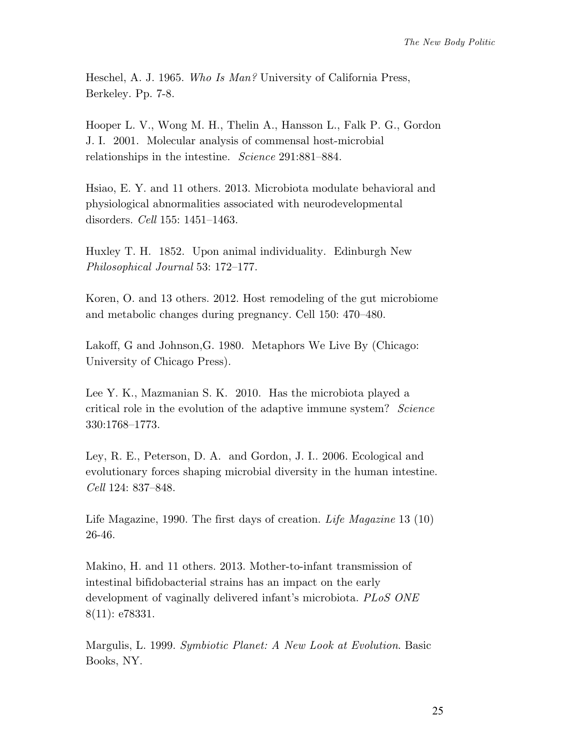Heschel, A. J. 1965. *Who Is Man?* University of California Press, Berkeley. Pp. 7-8.

Hooper L. V., Wong M. H., Thelin A., Hansson L., Falk P. G., Gordon J. I. 2001. Molecular analysis of commensal host-microbial relationships in the intestine. *Science* 291:881–884.

Hsiao, E. Y. and 11 others. 2013. Microbiota modulate behavioral and physiological abnormalities associated with neurodevelopmental disorders. *Cell* 155: 1451–1463.

Huxley T. H. 1852. Upon animal individuality. Edinburgh New *Philosophical Journal* 53: 172–177.

Koren, O. and 13 others. 2012. Host remodeling of the gut microbiome and metabolic changes during pregnancy. Cell 150: 470–480.

Lakoff, G and Johnson,G. 1980. Metaphors We Live By (Chicago: University of Chicago Press).

Lee Y. K., Mazmanian S. K. 2010. Has the microbiota played a critical role in the evolution of the adaptive immune system? *Science* 330:1768–1773.

Ley, R. E., Peterson, D. A. and Gordon, J. I.. 2006. Ecological and evolutionary forces shaping microbial diversity in the human intestine. *Cell* 124: 837–848.

Life Magazine, 1990. The first days of creation. *Life Magazine* 13 (10) 26-46.

Makino, H. and 11 others. 2013. Mother-to-infant transmission of intestinal bifidobacterial strains has an impact on the early development of vaginally delivered infant's microbiota. *PLoS ONE* 8(11): e78331.

Margulis, L. 1999. *Symbiotic Planet: A New Look at Evolution*. Basic Books, NY.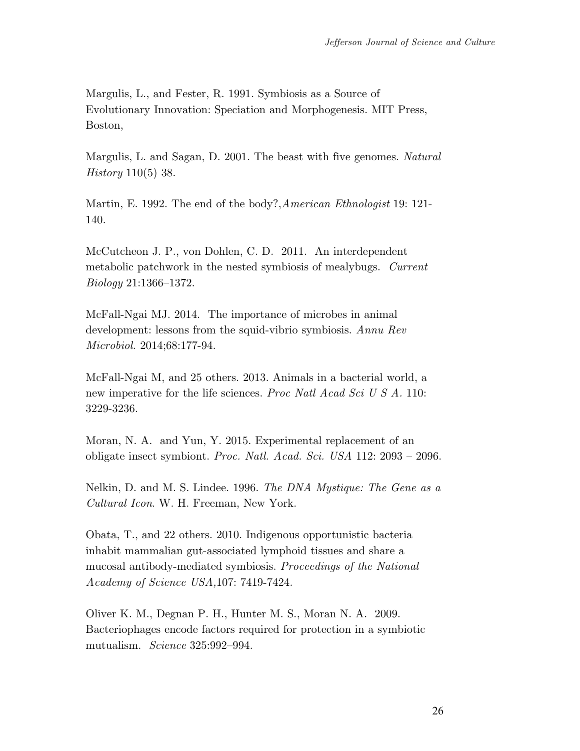Margulis, L., and Fester, R. 1991. Symbiosis as a Source of Evolutionary Innovation: Speciation and Morphogenesis. MIT Press, Boston,

Margulis, L. and Sagan, D. 2001. The beast with five genomes. *Natural History* 110(5) 38.

Martin, E. 1992. The end of the body?,*American Ethnologist* 19: 121- 140.

McCutcheon J. P., von Dohlen, C. D. 2011. An interdependent metabolic patchwork in the nested symbiosis of mealybugs. *Current Biology* 21:1366–1372.

McFall-Ngai MJ. 2014. The importance of microbes in animal development: lessons from the squid-vibrio symbiosis. *Annu Rev Microbiol.* 2014;68:177-94.

McFall-Ngai M, and 25 others. 2013. Animals in a bacterial world, a new imperative for the life sciences. *Proc Natl Acad Sci U S A.* 110: 3229-3236.

Moran, N. A. and Yun, Y. 2015. Experimental replacement of an obligate insect symbiont. *Proc. Natl. Acad. Sci. USA* 112: 2093 – 2096.

Nelkin, D. and M. S. Lindee. 1996. *The DNA Mystique: The Gene as a Cultural Icon*. W. H. Freeman, New York.

Obata, T., and 22 others. 2010. Indigenous opportunistic bacteria inhabit mammalian gut-associated lymphoid tissues and share a mucosal antibody-mediated symbiosis. *Proceedings of the National Academy of Science USA,*107: 7419-7424.

Oliver K. M., Degnan P. H., Hunter M. S., Moran N. A. 2009. Bacteriophages encode factors required for protection in a symbiotic mutualism. *Science* 325:992–994.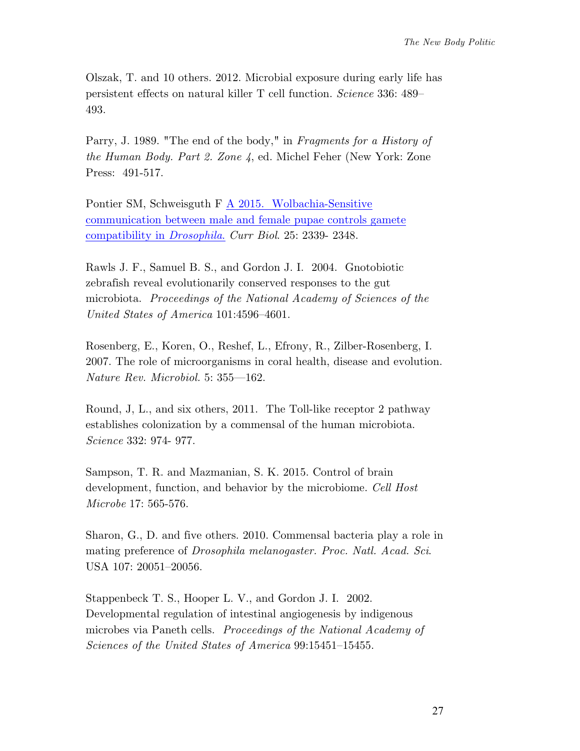Olszak, T. and 10 others. 2012. Microbial exposure during early life has persistent effects on natural killer T cell function. *Science* 336: 489– 493.

Parry, J. 1989. "The end of the body," in *Fragments for a History of the Human Body. Part 2. Zone 4*, ed. Michel Feher (New York: Zone Press: 491-517.

Pontier SM, Schweisguth F A 2015. Wolbachia-Sensitive communication between male and female pupae controls gamete compatibility in *Drosophila*. *Curr Biol*. 25: 2339- 2348.

Rawls J. F., Samuel B. S., and Gordon J. I. 2004. Gnotobiotic zebrafish reveal evolutionarily conserved responses to the gut microbiota. *Proceedings of the National Academy of Sciences of the United States of America* 101:4596–4601.

Rosenberg, E., Koren, O., Reshef, L., Efrony, R., Zilber-Rosenberg, I. 2007. The role of microorganisms in coral health, disease and evolution. *Nature Rev. Microbiol.* 5: 355—162.

Round, J, L., and six others, 2011. The Toll-like receptor 2 pathway establishes colonization by a commensal of the human microbiota. *Science* 332: 974- 977.

Sampson, T. R. and Mazmanian, S. K. 2015. Control of brain development, function, and behavior by the microbiome. *Cell Host Microbe* 17: 565-576.

Sharon, G., D. and five others. 2010. Commensal bacteria play a role in mating preference of *Drosophila melanogaster. Proc. Natl. Acad. Sci*. USA 107: 20051–20056.

Stappenbeck T. S., Hooper L. V., and Gordon J. I. 2002. Developmental regulation of intestinal angiogenesis by indigenous microbes via Paneth cells. *Proceedings of the National Academy of Sciences of the United States of America* 99:15451–15455.